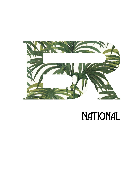

## NATIONAL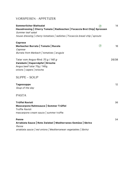## **VORSPEISEN - APPETIZER**

| <b>Sommerlicher Blattsalat</b><br>Hausdressing   Cherry Tomate   Radieschen   Focaccia Brot Chip   Sprossen<br>Summer leaf salad           | $^\circledR$ | 14    |
|--------------------------------------------------------------------------------------------------------------------------------------------|--------------|-------|
| house dressing   cherry tomatoes   radishes   Focaccia bread chip   sprouts                                                                |              |       |
| <b>Caprese</b>                                                                                                                             |              |       |
| Marbacher Burrata   Tomate   Rucola<br>Caprese                                                                                             | $\circledR$  | 16    |
| Burrata from Marbach   tomatoes   arugula                                                                                                  |              |       |
| Tatar vom Angus-Rind 70 g / 140 g<br>Zwiebeln   Kapernäpfel   Brioche<br>Angus beef tatar 70g / 140g<br>onions   capers   brioche          |              | 26/38 |
| SUPPE – SOUP                                                                                                                               |              |       |
| <b>Tagessuppe</b><br>Soup of the day                                                                                                       |              | 12    |
| <b>PASTA</b>                                                                                                                               |              |       |
| <b>Trüffel Ravioli</b><br>Mascarpone Rahmsauce   Sommer Trüffel<br><b>Truffle Ravioli</b><br>mascarpone cream sauce $\vert$ summer truffle |              | 36    |
|                                                                                                                                            |              |       |
| <b>Penne</b><br>Arrabiata Sauce   Rote Zwiebel   Mediterranes Gemüse   Sbrinz<br>Penne                                                     |              | 34    |

arrabiata sauce | red onions | Mediterranean vegetables | Sbrinz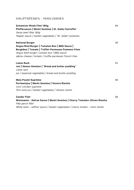## **HAUPTSPEISEN - MAIN DISHES**

| <b>Schweizer Rinds Filet 180g</b>                                       | 64 |
|-------------------------------------------------------------------------|----|
| Pfeffersauce   Markt Gemüse   St. Galler Kartoffel                      |    |
| Swiss beef fillet 180g                                                  |    |
| Pepper sauce   market vegetables   "St. Galler" potatoes                |    |
| <b>National Burger</b>                                                  | 36 |
| Angus Rind Burger   Tomaten Bun   BBQ Sauce                             |    |
| Bergkäse   Tomate   Trüffel-Parmesan Pommes frites                      |    |
| Angus beef burger   tomato bun   BBQ sauce                              |    |
| alpine cheese   tomato   truffle-parmesan French fries                  |    |
| <b>Lamm Rack</b>                                                        | 52 |
| Jus   Saison Gemüse   "Bread and butter pudding"                        |    |
| Lamb rack                                                               |    |
| jus   seasonal vegetables   bread and butter pudding                    |    |
| <b>Mais Poulet Suprême</b>                                              | 48 |
| Portweinjus   Markt Gemüse   Venere Risotto                             |    |
| Corn chicken supreme                                                    |    |
| Port wine jus   market vegetables   Venere risotto                      |    |
| <b>Zander Filet</b>                                                     | 48 |
| Weisswein - Safran Sauce   Markt Gemüse   Cherry Tomaten-Oliven Risotto |    |
| Pike perch fillet                                                       |    |
|                                                                         |    |

White wine – saffron sauce  $/$  market vegetables  $/$  cherry tomato – olive risotto